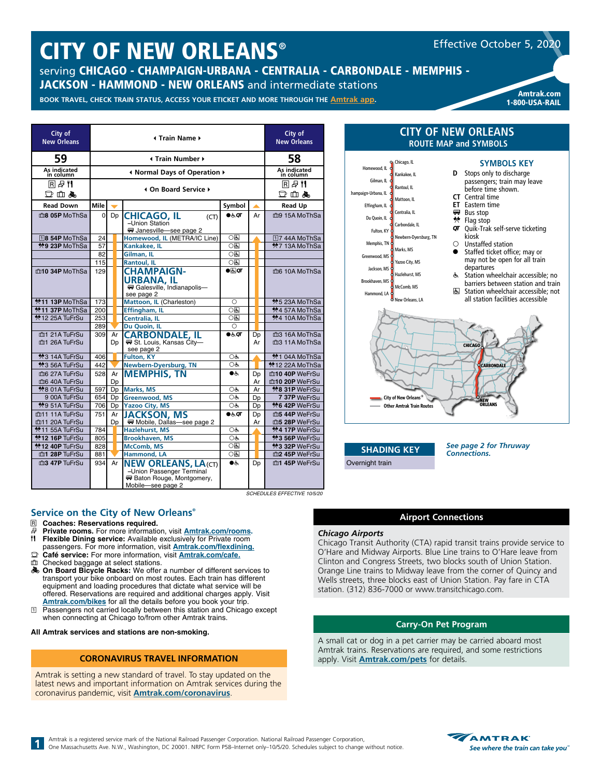# CITY OF NEW ORLEANS®

serving CHICAGO - CHAMPAIGN-URBANA - CENTRALIA - CARBONDALE - MEMPHIS - JACKSON - HAMMOND - NEW ORLEANS and intermediate stations

Amtrak.com<br>BOOK TRAVEL, CHECK TRAIN STATUS, ACCESS YOUR ETICKET AND MORE THROUGH THE <u>Amtrak app</u>. **Amtrak and Illini-Saluki** 

1-800-USA-RAIL

Effective October 5, 2020

| City of<br><b>New Orleans</b>   |          |          | City of<br><b>New Orleans</b>                                                                                     |                       |          |  |                                                     |
|---------------------------------|----------|----------|-------------------------------------------------------------------------------------------------------------------|-----------------------|----------|--|-----------------------------------------------------|
| 59                              |          |          | <b>I</b> Train Number ▶                                                                                           |                       |          |  | 58                                                  |
| As indicated<br>in column       |          |          | I Normal Days of Operation ▶                                                                                      |                       |          |  | As indicated<br>in column                           |
| 国母性<br>口血晶                      |          |          | 4 On Board Service ▶                                                                                              |                       |          |  | RBT<br>$\mathbb{D}$ in $\clubsuit$                  |
| <b>Read Down</b>                | Mile     |          |                                                                                                                   | Symbol                |          |  | <b>Read Up</b>                                      |
| m <sup>8</sup> 05P MoThSa       | $\Omega$ | Dp       | <b>CHICAGO, IL</b><br>(CT)<br>-Union Station<br>₩ Janesville-see page 2                                           | ●க்ள                  | Ar       |  | mg 15A MoThSa                                       |
| 18 54P MoThSa                   | 24       |          | Homewood, IL (METRA/IC Line)                                                                                      | 0因                    |          |  | 17 44A MoThSa                                       |
| <b>*9 23P MoThSa</b>            | 57       |          | Kankakee, IL                                                                                                      | $\bigcirc$            |          |  | <b>*7 13A MoThSa</b>                                |
|                                 | 82       |          | Gilman, IL                                                                                                        | ाडा                   |          |  |                                                     |
|                                 | 115      |          | <b>Rantoul, IL</b>                                                                                                | $\circ$               |          |  |                                                     |
| m10 34P MoThSa                  | 129      |          | <b>CHAMPAIGN-</b><br>URBANA, IL<br>Galesville, Indianapolis-<br>see page 2                                        | $\bullet$ ar          |          |  | me 10A MoThSa                                       |
| $*11$ 13P MoThSa                | 173      |          | Mattoon, IL (Charleston)                                                                                          | Ο                     |          |  | *5 23А MoThSa                                       |
| <b>*11 37P MoThSa</b>           | 200      |          | Effingham, IL                                                                                                     | $\overline{\bigcirc}$ |          |  | <b>*</b> 457A MoThSa                                |
| <b>*12 25A TuFrSu</b>           | 253      |          | Centralia, IL                                                                                                     | ाड                    |          |  | <b>*4 10A MoThSa</b>                                |
|                                 | 289      |          | Du Quoin, IL                                                                                                      | $\bigcirc$            |          |  |                                                     |
| m1 21A TuFrSu<br>m1 26A TuFrSu  | 309      | Ar<br>Dp | <b>CARBONDALE, IL</b><br>St. Louis, Kansas City-<br>see page 2                                                    | $\bullet$ க்ள         | Dp<br>Ar |  | m3 16A MoThSa<br>m3 11A MoThSa                      |
| <b><sup>★</sup>3 14A TuFrSu</b> | 406      |          | <b>Fulton, KY</b>                                                                                                 | ОĠ                    |          |  | <b>*1 04A MoThSa</b>                                |
| <b>*3 56A TuFrSu</b>            | 442      |          | <b>Newbern-Dyersburg, TN</b>                                                                                      | OĠ.                   |          |  | <b>*12 22A MoThSa</b>                               |
| mo 27A TuFrSu                   | 528      | Ar       | <b>MEMPHIS, TN</b>                                                                                                | ے ہ                   | Dp       |  | m10 40P WeFrSu                                      |
| m6 40A TuFrSu                   |          | Dp       |                                                                                                                   |                       | Ar       |  | m10 20P WeFrSu                                      |
| <b>*8 01A TuFrSu</b>            | 597      | Dp       | Marks, MS                                                                                                         | OĠ                    | Ar       |  | <b>*8 31P WeFrSu</b>                                |
| 9 00A TuFrSu                    | 654      | Dp       | Greenwood, MS                                                                                                     | O&                    | Dp       |  | 7 37P WeFrSu                                        |
| <b>*9 51A TuFrSu</b>            | 706      | Dp       | <b>Yazoo City, MS</b>                                                                                             | OĠ                    | Dp       |  | <b>*6 42P WeFrSu</b>                                |
| m11 11A TuFrSu                  | 751      | Ar       | <b>JACKSON, MS</b>                                                                                                | $\bullet$ க்ள         | Dp       |  | m5 44P WeFrSu                                       |
| m11 20A TuFrSu                  |          | Dp       | ₩ Mobile, Dallas—see page 2                                                                                       |                       | Ar       |  | m5 28P WeFrSu                                       |
| <sup>★</sup> 11 55A TuFrSu      | 784      |          | <b>Hazlehurst, MS</b>                                                                                             | OĠ.                   |          |  | <b>※4 17P</b> WeFrSu                                |
| <b>*12 16P TuFrSu</b>           | 805      |          | <b>Brookhaven, MS</b>                                                                                             | OĠ                    |          |  | *3 56P WeFrSu                                       |
| <b>*12 40P TuFrSu</b>           | 828      |          | <b>McComb, MS</b>                                                                                                 | ○६                    |          |  | *3 32P WeFrSu                                       |
| m1 28P TuFrSu                   | 881      |          | Hammond, LA                                                                                                       | ○६                    |          |  | m2 45P WeFrSu                                       |
| m3 47P TuFrSu                   | 934      | Ar       | <b>NEW ORLEANS, LA(CT)</b><br>-Union Passenger Terminal<br><b>W</b> Baton Rouge, Montgomery,<br>Mobile-see page 2 | $\bullet$             | Dp       |  | m1 45P WeFrSu<br><b>SCHEDULES EFFECTIVE 10/5/20</b> |

#### **ROUTE MAP and SYMBOLS SYMBOLS KEY D** Stops only to discharge passengers; train may leave before time shown. **CT** Central time **ET** Eastern time **Bus stop**  $*$  Flag stop **QT** Quik-Trak self-serve ticketing kiosk  $\circ$  Unstaffed station ● Staffed ticket office: may or may not be open for all train departures w Station wheelchair accessible; no barriers between station and train **CHICAGO** w Orleans, LA Memphis, TN Chicago, IL Jackson, MS Yazoo City, MS McComb, MS Greenwood, MS Marks, MS Fulton, KY ven, MS  $And I$ Hazlehurst, MS Mattoon, IL Carbondale, IL Centralia, IL Effingham, IL Du Quoin, IL Champaign-Urbana, IL Kankakee, IL Rantoul, IL Homewood, IL Gilman, IL Newbern-Dyersburg, TN City of New Orleans®

**CITY OF NEW ORLEANS**

**E** Station wheelchair accessible; not all station facilities accessible



**SHADING KEY** Overnight train

*See page 2 for Thruway Connections.*

### *Chicago Airports*

Chicago Transit Authority (CTA) rapid transit trains provide service to O'Hare and Midway Airports. Blue Line trains to O'Hare leave from Clinton and Congress Streets, two blocks south of Union Station. Orange Line trains to Midway leave from the corner of Quincy and Wells streets, three blocks east of Union Station. Pay fare in CTA station. (312) 836-7000 or www.transitchicago.com.

**Airport Connections**

#### **Carry-On Pet Program**

A small cat or dog in a pet carrier may be carried aboard most Amtrak trains. Reservations are required, and some restrictions apply. Visit **[Amtrak.com/pets](https://www.amtrak.com/pets)** for details.

#### **Service on the City of New Orleans®**

- R **Coaches: Reservations required.**
- *B* Private rooms. For more information, visit **[Amtrak.com/rooms.](https://www.amtrak.com/rooms)**<br>**11 Flexible Dining service:** Available exclusively for Private room **Flexible Dining service:** Available exclusively for Private room
- passengers. For more information, visit **[Amtrak.com/flexdining](https://www.amtrak.com/flexdining). □ Café service:** For more information, visit **[Amtrak.com/c](https://www.amtrak.com/cafe)afe.**<br>**□ Checked baggage at select stations**
- Checked baggage at select stations.
- **& On Board Bicycle Racks:** We offer a number of different services to transport your bike onboard on most routes. Each train has different equipment and loading procedures that dictate what service will be offered. Reservations are required and additional charges apply. Visit
- **[Amtrak.com/bikes](https://www.amtrak.com/bikes)** for all the details before you book your trip.<br>
1 Passengers not carried locally between this station and Chicago except when connecting at Chicago to/from other Amtrak trains.

**All Amtrak services and stations are non-smoking.** 

#### **CORONAVIRUS TRAVEL INFORMATION**

Amtrak is setting a new standard of travel. To stay updated on the latest news and important information on Amtrak services during the coronavirus pandemic, visit **[Amtrak.com/c](https://www.amtrak.com/coronavirus)oronavirus**.

Amtrak is a registered service mark of the National Railroad Passenger Corporation. National Railroad Passenger Corporation, One Massachusetts Ave. N.W., Washington, DC 20001. NRPC Form P58–Internet only–10/5/20. Schedules subject to change without notice.